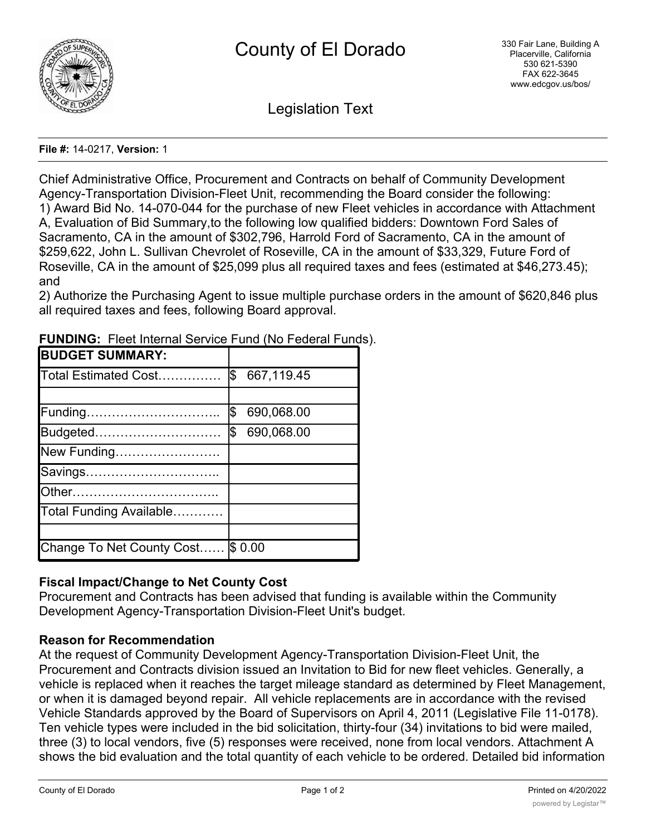

Legislation Text

## **File #:** 14-0217, **Version:** 1

Chief Administrative Office, Procurement and Contracts on behalf of Community Development Agency-Transportation Division-Fleet Unit, recommending the Board consider the following: 1) Award Bid No. 14-070-044 for the purchase of new Fleet vehicles in accordance with Attachment A, Evaluation of Bid Summary,to the following low qualified bidders: Downtown Ford Sales of Sacramento, CA in the amount of \$302,796, Harrold Ford of Sacramento, CA in the amount of \$259,622, John L. Sullivan Chevrolet of Roseville, CA in the amount of \$33,329, Future Ford of Roseville, CA in the amount of \$25,099 plus all required taxes and fees (estimated at \$46,273.45); and

2) Authorize the Purchasing Agent to issue multiple purchase orders in the amount of \$620,846 plus all required taxes and fees, following Board approval.

| <b>BUDGET SUMMARY:</b>            |                  |
|-----------------------------------|------------------|
| Total Estimated Cost              | \$667,119.45     |
|                                   |                  |
| Funding                           | \$<br>690,068.00 |
| Budgeted                          | Ŝ.<br>690,068.00 |
| New Funding                       |                  |
| Savings                           |                  |
|                                   |                  |
| Total Funding Available           |                  |
|                                   |                  |
| Change To Net County Cost \$ 0.00 |                  |

**FUNDING:** Fleet Internal Service Fund (No Federal Funds).

## **Fiscal Impact/Change to Net County Cost**

Procurement and Contracts has been advised that funding is available within the Community Development Agency-Transportation Division-Fleet Unit's budget.

## **Reason for Recommendation**

At the request of Community Development Agency-Transportation Division-Fleet Unit, the Procurement and Contracts division issued an Invitation to Bid for new fleet vehicles. Generally, a vehicle is replaced when it reaches the target mileage standard as determined by Fleet Management, or when it is damaged beyond repair. All vehicle replacements are in accordance with the revised Vehicle Standards approved by the Board of Supervisors on April 4, 2011 (Legislative File 11-0178). Ten vehicle types were included in the bid solicitation, thirty-four (34) invitations to bid were mailed, three (3) to local vendors, five (5) responses were received, none from local vendors. Attachment A shows the bid evaluation and the total quantity of each vehicle to be ordered. Detailed bid information